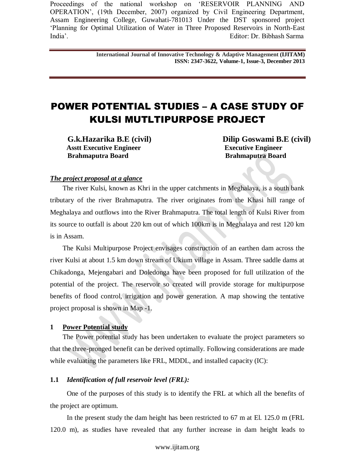> **International Journal of Innovative Technology & Adaptive Management (IJITAM) ISSN: 2347-3622, Volume-1, Issue-3, December 2013**

# POWER POTENTIAL STUDIES – A CASE STUDY OF KULSI MUTLTIPURPOSE PROJECT

 **Asstt Executive Engineer Executive Engineer Executive Engineer Executive Engineer Brahmaputra Board Brahmaputra Board Brahmaputra Board** 

**G.k.Hazarika B.E (civil) Dilip Goswami B.E (civil)**

## *The project proposal at a glance*

The river Kulsi, known as Khri in the upper catchments in Meghalaya, is a south bank tributary of the river Brahmaputra. The river originates from the Khasi hill range of Meghalaya and outflows into the River Brahmaputra. The total length of Kulsi River from its source to outfall is about 220 km out of which 100km is in Meghalaya and rest 120 km is in Assam.

The Kulsi Multipurpose Project envisages construction of an earthen dam across the river Kulsi at about 1.5 km down stream of Ukium village in Assam. Three saddle dams at Chikadonga, Mejengabari and Doledonga have been proposed for full utilization of the potential of the project. The reservoir so created will provide storage for multipurpose benefits of flood control, irrigation and power generation. A map showing the tentative project proposal is shown in Map -1.

#### **1 Power Potential study**

The Power potential study has been undertaken to evaluate the project parameters so that the three-pronged benefit can be derived optimally. Following considerations are made while evaluating the parameters like FRL, MDDL, and installed capacity (IC):

#### **1.1** *Identification of full reservoir level (FRL):*

One of the purposes of this study is to identify the FRL at which all the benefits of the project are optimum.

In the present study the dam height has been restricted to 67 m at El. 125.0 m (FRL 120.0 m), as studies have revealed that any further increase in dam height leads to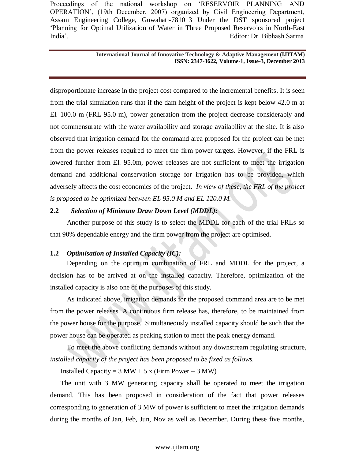#### **International Journal of Innovative Technology & Adaptive Management (IJITAM) ISSN: 2347-3622, Volume-1, Issue-3, December 2013**

disproportionate increase in the project cost compared to the incremental benefits. It is seen from the trial simulation runs that if the dam height of the project is kept below 42.0 m at El. 100.0 m (FRL 95.0 m), power generation from the project decrease considerably and not commensurate with the water availability and storage availability at the site. It is also observed that irrigation demand for the command area proposed for the project can be met from the power releases required to meet the firm power targets. However, if the FRL is lowered further from El. 95.0m, power releases are not sufficient to meet the irrigation demand and additional conservation storage for irrigation has to be provided, which adversely affects the cost economics of the project*. In view of these, the FRL of the project is proposed to be optimized between EL 95.0 M and EL 120.0 M.* 

# **2.2** *Selection of Minimum Draw Down Level (MDDL):*

Another purpose of this study is to select the MDDL for each of the trial FRLs so that 90% dependable energy and the firm power from the project are optimised.

# **1.2** *Optimisation of Installed Capacity (IC):*

Depending on the optimum combination of FRL and MDDL for the project, a decision has to be arrived at on the installed capacity. Therefore, optimization of the installed capacity is also one of the purposes of this study.

As indicated above, irrigation demands for the proposed command area are to be met from the power releases. A continuous firm release has, therefore, to be maintained from the power house for the purpose. Simultaneously installed capacity should be such that the power house can be operated as peaking station to meet the peak energy demand.

To meet the above conflicting demands without any downstream regulating structure*, installed capacity of the project has been proposed to be fixed as follows.*

Installed Capacity =  $3 MW + 5 x$  (Firm Power –  $3 MW$ )

The unit with 3 MW generating capacity shall be operated to meet the irrigation demand. This has been proposed in consideration of the fact that power releases corresponding to generation of 3 MW of power is sufficient to meet the irrigation demands during the months of Jan, Feb, Jun, Nov as well as December. During these five months,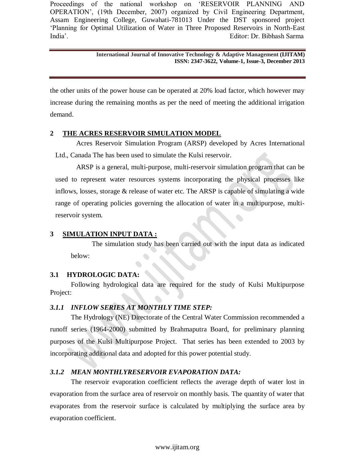#### **International Journal of Innovative Technology & Adaptive Management (IJITAM) ISSN: 2347-3622, Volume-1, Issue-3, December 2013**

the other units of the power house can be operated at 20% load factor, which however may increase during the remaining months as per the need of meeting the additional irrigation demand.

# **2 THE ACRES RESERVOIR SIMULATION MODEL**

Acres Reservoir Simulation Program (ARSP) developed by Acres International Ltd., Canada The has been used to simulate the Kulsi reservoir.

ARSP is a general, multi-purpose, multi-reservoir simulation program that can be used to represent water resources systems incorporating the physical processes like inflows, losses, storage & release of water etc. The ARSP is capable of simulating a wide range of operating policies governing the allocation of water in a multipurpose, multireservoir system.

# **3 SIMULATION INPUT DATA :**

The simulation study has been carried out with the input data as indicated below:

# **3.1 HYDROLOGIC DATA:**

Following hydrological data are required for the study of Kulsi Multipurpose Project:

# *3.1.1 INFLOW SERIES AT MONTHLY TIME STEP:*

The Hydrology (NE) Directorate of the Central Water Commission recommended a runoff series (1964-2000) submitted by Brahmaputra Board, for preliminary planning purposes of the Kulsi Multipurpose Project. That series has been extended to 2003 by incorporating additional data and adopted for this power potential study.

# *3.1.2 MEAN MONTHLYRESERVOIR EVAPORATION DATA:*

The reservoir evaporation coefficient reflects the average depth of water lost in evaporation from the surface area of reservoir on monthly basis. The quantity of water that evaporates from the reservoir surface is calculated by multiplying the surface area by evaporation coefficient.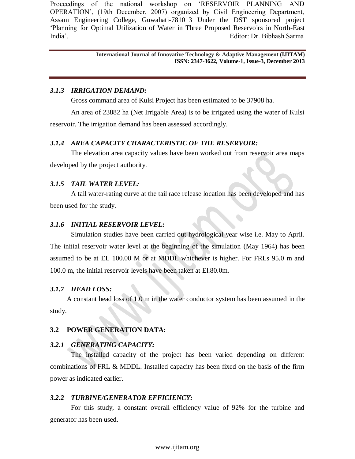> **International Journal of Innovative Technology & Adaptive Management (IJITAM) ISSN: 2347-3622, Volume-1, Issue-3, December 2013**

## *3.1.3 IRRIGATION DEMAND:*

Gross command area of Kulsi Project has been estimated to be 37908 ha.

An area of 23882 ha (Net Irrigable Area) is to be irrigated using the water of Kulsi reservoir. The irrigation demand has been assessed accordingly.

# *3.1.4 AREA CAPACITY CHARACTERISTIC OF THE RESERVOIR:*

The elevation area capacity values have been worked out from reservoir area maps developed by the project authority.

#### *3.1.5 TAIL WATER LEVEL:*

A tail water-rating curve at the tail race release location has been developed and has been used for the study.

#### *3.1.6 INITIAL RESERVOIR LEVEL:*

Simulation studies have been carried out hydrological year wise i.e. May to April. The initial reservoir water level at the beginning of the simulation (May 1964) has been assumed to be at EL 100.00 M or at MDDL whichever is higher. For FRLs 95.0 m and 100.0 m, the initial reservoir levels have been taken at El.80.0m.

#### *3.1.7 HEAD LOSS:*

A constant head loss of 1.0 m in the water conductor system has been assumed in the study.

# **3.2 POWER GENERATION DATA:**

#### *3.2.1 GENERATING CAPACITY:*

The installed capacity of the project has been varied depending on different combinations of FRL & MDDL. Installed capacity has been fixed on the basis of the firm power as indicated earlier.

#### *3.2.2 TURBINE/GENERATOR EFFICIENCY:*

For this study, a constant overall efficiency value of 92% for the turbine and generator has been used.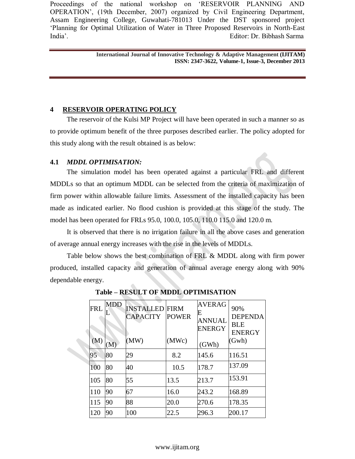> **International Journal of Innovative Technology & Adaptive Management (IJITAM) ISSN: 2347-3622, Volume-1, Issue-3, December 2013**

# **4 RESERVOIR OPERATING POLICY**

The reservoir of the Kulsi MP Project will have been operated in such a manner so as to provide optimum benefit of the three purposes described earlier. The policy adopted for this study along with the result obtained is as below:

## **4.1** *MDDL OPTIMISATION:*

The simulation model has been operated against a particular FRL and different MDDLs so that an optimum MDDL can be selected from the criteria of maximization of firm power within allowable failure limits. Assessment of the installed capacity has been made as indicated earlier. No flood cushion is provided at this stage of the study. The model has been operated for FRLs 95.0, 100.0, 105.0, 110.0 115.0 and 120.0 m.

It is observed that there is no irrigation failure in all the above cases and generation of average annual energy increases with the rise in the levels of MDDLs.

Table below shows the best combination of FRL & MDDL along with firm power produced, installed capacity and generation of annual average energy along with 90% dependable energy.

| <b>FRL</b> | <b>MDD</b><br>L | <b>INSTALLED</b><br><b>CAPACITY</b> | <b>FIRM</b><br><b>POWER</b> | <b>AVERAG</b><br>E<br><b>ANNUAL</b><br><b>ENERGY</b> | 90%<br><b>DEPENDA</b><br><b>BLE</b><br><b>ENERGY</b> |
|------------|-----------------|-------------------------------------|-----------------------------|------------------------------------------------------|------------------------------------------------------|
| (M)        | M)              | (MW)                                | (MWc)                       | (GWh)                                                | (Gwh)                                                |
| 95         | 80              | 29                                  | 8.2                         | 145.6                                                | 116.51                                               |
| 100        | 80              | 40                                  | 10.5                        | 178.7                                                | 137.09                                               |
| 105        | 80              | 55                                  | 13.5                        | 213.7                                                | 153.91                                               |
| 110        | 90              | 67                                  | 16.0                        | 243.2                                                | 168.89                                               |
| 115        | 90              | 88                                  | 20.0                        | 270.6                                                | 178.35                                               |
| 120        | 90              | 100                                 | 22.5                        | 296.3                                                | 200.17                                               |

 **Table – RESULT OF MDDL OPTIMISATION**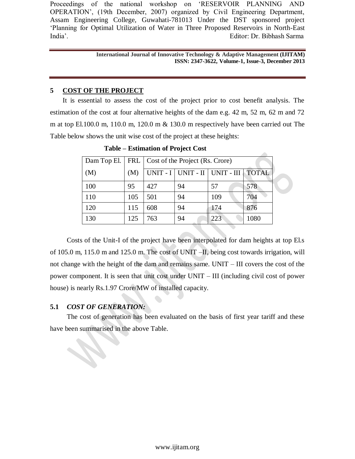> **International Journal of Innovative Technology & Adaptive Management (IJITAM) ISSN: 2347-3622, Volume-1, Issue-3, December 2013**

# **5 COST OF THE PROJECT**

It is essential to assess the cost of the project prior to cost benefit analysis. The estimation of the cost at four alternative heights of the dam e.g. 42 m, 52 m, 62 m and 72 m at top El.100.0 m, 110.0 m, 120.0 m  $\&$  130.0 m respectively have been carried out The Table below shows the unit wise cost of the project at these heights:

| Dam Top El. |     | FRL   Cost of the Project (Rs. Crore) |    |                                           |      |  |
|-------------|-----|---------------------------------------|----|-------------------------------------------|------|--|
| (M)         | (M) |                                       |    | UNIT - I   UNIT - II   UNIT - III   TOTAL |      |  |
| 100         | 95  | 427                                   | 94 | 57                                        | 578  |  |
| 110         | 105 | 501                                   | 94 | 109                                       | 704  |  |
| 120         | 115 | 608                                   | 94 | 174                                       | 876  |  |
| 130         | 125 | 763                                   | 94 | 223                                       | 1080 |  |

 **Table – Estimation of Project Cost**

Costs of the Unit-I of the project have been interpolated for dam heights at top El.s of 105.0 m, 115.0 m and 125.0 m. The cost of UNIT –II, being cost towards irrigation, will not change with the height of the dam and remains same. UNIT – III covers the cost of the power component. It is seen that unit cost under UNIT – III (including civil cost of power house) is nearly Rs.1.97 Crore/MW of installed capacity.

# **5.1** *COST OF GENERATION:*

The cost of generation has been evaluated on the basis of first year tariff and these have been summarised in the above Table.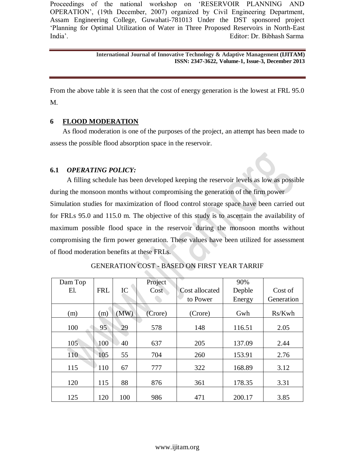> **International Journal of Innovative Technology & Adaptive Management (IJITAM) ISSN: 2347-3622, Volume-1, Issue-3, December 2013**

From the above table it is seen that the cost of energy generation is the lowest at FRL 95.0 M.

## **6 FLOOD MODERATION**

As flood moderation is one of the purposes of the project, an attempt has been made to assess the possible flood absorption space in the reservoir.

## **6.1** *OPERATING POLICY:*

A filling schedule has been developed keeping the reservoir levels as low as possible during the monsoon months without compromising the generation of the firm power Simulation studies for maximization of flood control storage space have been carried out for FRLs 95.0 and 115.0 m. The objective of this study is to ascertain the availability of maximum possible flood space in the reservoir during the monsoon months without compromising the firm power generation. These values have been utilized for assessment of flood moderation benefits at these FRLs.

| Dam Top |            |      | Project |                       | 90%    |            |
|---------|------------|------|---------|-----------------------|--------|------------|
| El.     | <b>FRL</b> | IC   | Cost    | <b>Cost allocated</b> | Depble | Cost of    |
|         |            |      |         | to Power              | Energy | Generation |
| (m)     | (m)        | (MW) | (Crore) | (Crore)               | Gwh    | Rs/Kwh     |
| 100     | 95         | 29   | 578     | 148                   | 116.51 | 2.05       |
|         |            |      |         |                       |        |            |
| 105     | 100        | 40   | 637     | 205                   | 137.09 | 2.44       |
| 110     | 105        | 55   | 704     | 260                   | 153.91 | 2.76       |
| 115     | 110        | 67   | 777     | 322                   | 168.89 | 3.12       |
| 120     | 115        | 88   | 876     | 361                   | 178.35 | 3.31       |
| 125     | 120        | 100  | 986     | 471                   | 200.17 | 3.85       |

GENERATION COST - BASED ON FIRST YEAR TARRIF